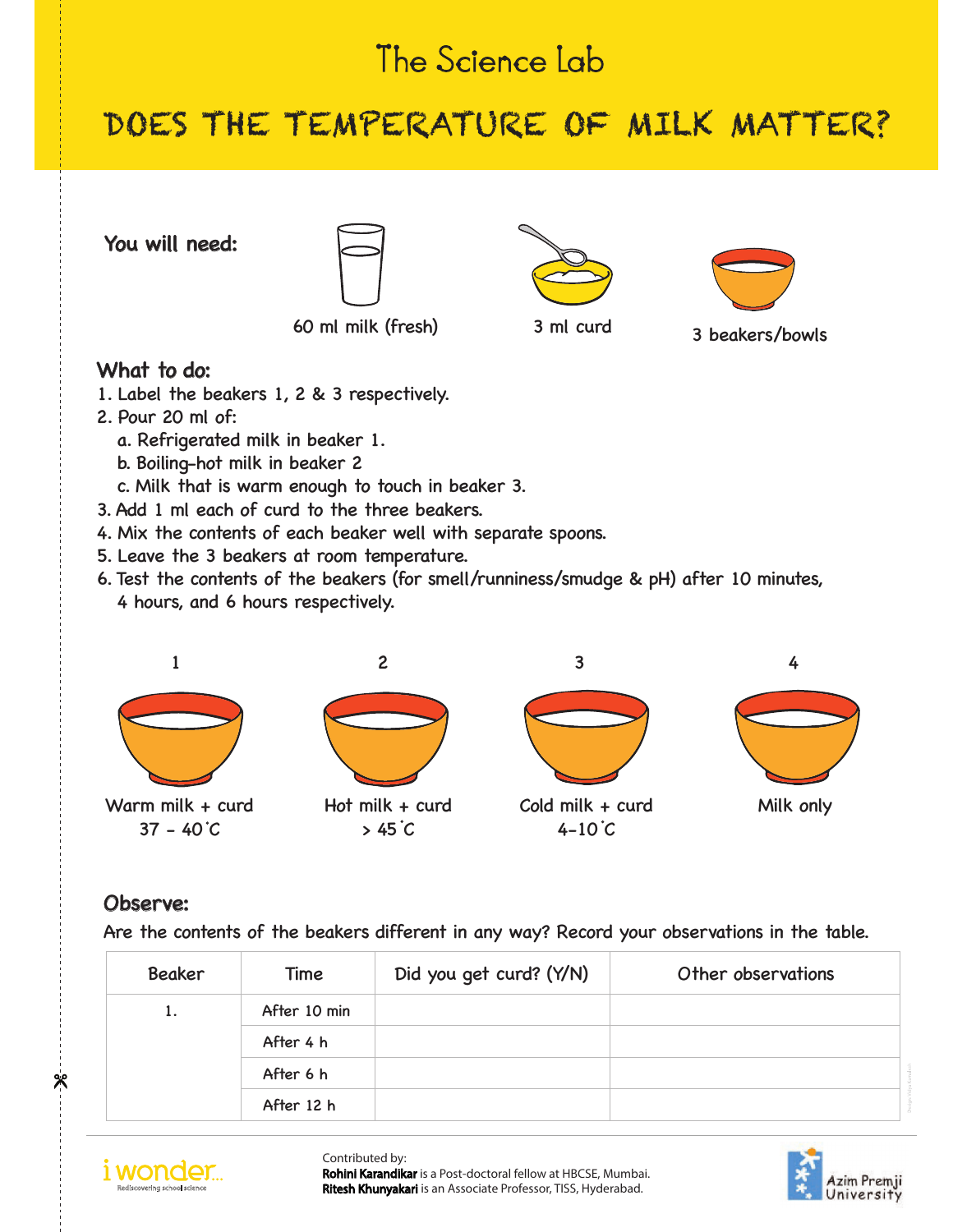# The Science Lab

## DOES THE TEMPERATURE OF MILK MATTER?

You will need:



60 ml milk (fresh) 3 ml curd 3 beakers/bowls





#### What to do:

- 1. Label the beakers 1, 2 & 3 respectively.
- 2. Pour 20 ml of:
	- a. Refrigerated milk in beaker 1.
	- b. Boiling-hot milk in beaker 2
	- c. Milk that is warm enough to touch in beaker 3.
- 3. Add 1 ml each of curd to the three beakers.
- 4. Mix the contents of each beaker well with separate spoons.
- 5. Leave the 3 beakers at room temperature.
- 6. Test the contents of the beakers (for smell/runniness/smudge & pH) after 10 minutes, 4 hours, and 6 hours respectively.



Warm milk + curd  $37 - 40^{\circ}C$ 



 $> 45^{\circ}$ C



### Observe:

Are the contents of the beakers different in any way? Record your observations in the table.

| <b>Beaker</b> | Time         | Did you get curd? (Y/N) | Other observations |
|---------------|--------------|-------------------------|--------------------|
| 1.            | After 10 min |                         |                    |
|               | After 4 h    |                         |                    |
|               | After 6 h    |                         |                    |
|               | After 12 h   |                         |                    |



Contributed by: Rohini Karandikar is a Post-doctoral fellow at HBCSE, Mumbai. Ritesh Khunyakari is an Associate Professor, TISS, Hyderabad.



ж